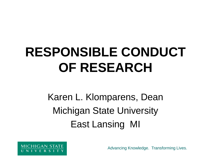## **RESPONSIBLE CONDUCT OF RESEARCH**

Karen L. Klomparens, Dean Michigan State University East Lansing MI

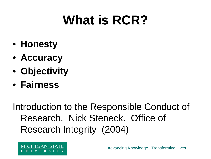### **What is RCR?**

- **Honesty**
- **Accuracy**
- **Objectivity**
- **Fairness**

Introduction to the Responsible Conduct of Research. Nick Steneck. Office of Research Integrity (2004)

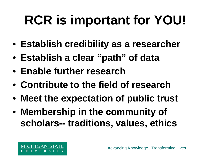# **RCR is important for YOU!**

- **Establish credibility as a researcher**
- **Establish a clear "path" of data**
- **Enable further research**
- **Contribute to the field of research**
- **Meet the expectation of public trust**
- **Membership in the community of scholars-- traditions, values, ethics**

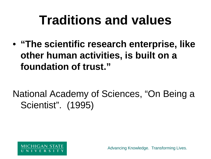#### **Traditions and values**

• **"The scientific research enterprise, like other human activities, is built on a foundation of trust."**

National Academy of Sciences, "On Being a Scientist". (1995)

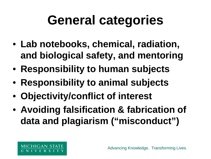#### **General categories**

- **Lab notebooks, chemical, radiation, and biological safety, and mentoring**
- **Responsibility to human subjects**
- **Responsibility to animal subjects**
- **Objectivity/conflict of interest**
- **Avoiding falsification & fabrication of data and plagiarism ("misconduct")**

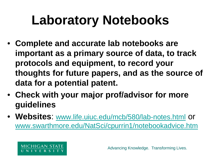## **Laboratory Notebooks**

- **Complete and accurate lab notebooks are important as a primary source of data, to track protocols and equipment, to record your thoughts for future papers, and as the source of data for a potential patent.**
- **Check with your major prof/advisor for more guidelines**
- **Websites**: [www.life.uiuc.edu/mcb/580/lab-notes.html](http://www.life.uiuc.edu/mcb/580/lab-notes.html) or [www.swarthmore.edu/NatSci/cpurrin1/notebookadvice.htm](http://www.swarthmore.edu/NatSci/cpurrin1/notebookadvice.htm)

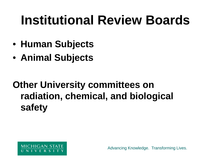### **Institutional Review Boards**

- **Human Subjects**
- **Animal Subjects**

#### **Other University committees on radiation, chemical, and biological safety**

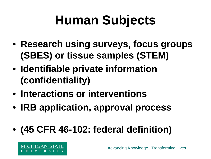## **Human Subjects**

- **Research using surveys, focus groups (SBES) or tissue samples (STEM)**
- **Identifiable private information (confidentiality)**
- **Interactions or interventions**
- **IRB application, approval process**
- **(45 CFR 46-102: federal definition)**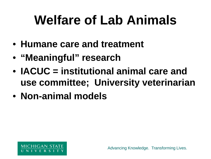## **Welfare of Lab Animals**

- **Humane care and treatment**
- **"Meaningful" research**
- **IACUC = institutional animal care and use committee; University veterinarian**
- **Non-animal models**

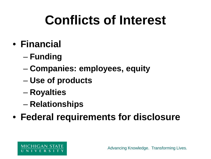## **Conflicts of Interest**

- **Financial**
	- **Funding**
	- **Companies: employees, equity**
	- **Use of products**
	- **Royalties**
	- **Relationships**
- **Federal requirements for disclosure**

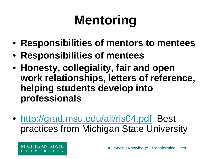# **Mentoring**

- **Responsibilities of mentors to mentees**
- **Responsibilities of mentees**
- **Honesty, collegiality, fair and open work relationships, letters of reference, helping students develop into professionals**
- <http://grad.msu.edu/all/ris04.pdf> Best practices from Michigan State University

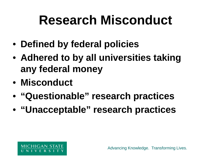#### **Research Misconduct**

- **Defined by federal policies**
- **Adhered to by all universities taking any federal money**
- **Misconduct**
- **"Questionable" research practices**
- **"Unacceptable" research practices**

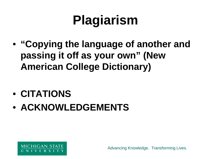## **Plagiarism**

- **"Copying the language of another and passing it off as your own" (New American College Dictionary)**
- **CITATIONS**
- **ACKNOWLEDGEMENTS**

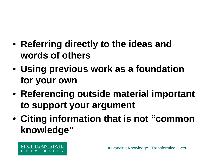- **Referring directly to the ideas and words of others**
- **Using previous work as a foundation for your own**
- **Referencing outside material important to support your argument**
- **Citing information that is not "common knowledge"**

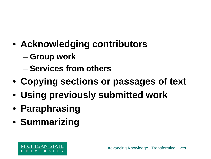- **Acknowledging contributors**
	- **Group work**
	- **Services from others**
- **Copying sections or passages of text**
- **Using previously submitted work**
- **Paraphrasing**
- **Summarizing**

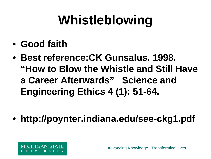## **Whistleblowing**

- **Good faith**
- **Best reference:CK Gunsalus. 1998. "How to Blow the Whistle and Still Have a Career Afterwards" Science and Engineering Ethics 4 (1): 51-64.**
- **http://poynter.indiana.edu/see-ckg1.pdf**